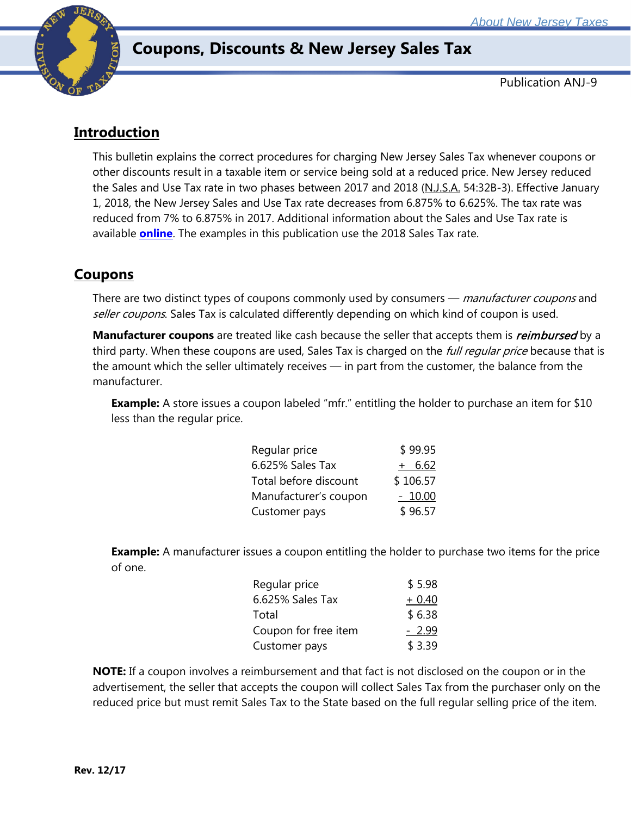

# **Coupons, Discounts & New Jersey Sales Tax**

Publication ANJ-9

### **Introduction**

This bulletin explains the correct procedures for charging New Jersey Sales Tax whenever coupons or other discounts result in a taxable item or service being sold at a reduced price. New Jersey reduced the Sales and Use Tax rate in two phases between 2017 and 2018 (N.J.S.A. 54:32B-3). Effective January 1, 2018, the New Jersey Sales and Use Tax rate decreases from 6.875% to 6.625%. The tax rate was reduced from 7% to 6.875% in 2017. Additional information about the Sales and Use Tax rate is available **[online](http://www.state.nj.us/treasury/taxation/ratechange/su-overview.shtml)**. The examples in this publication use the 2018 Sales Tax rate.

# **Coupons**

There are two distinct types of coupons commonly used by consumers — manufacturer coupons and seller coupons. Sales Tax is calculated differently depending on which kind of coupon is used.

Manufacturer coupons are treated like cash because the seller that accepts them is *reimbursed* by a third party. When these coupons are used, Sales Tax is charged on the full regular price because that is the amount which the seller ultimately receives — in part from the customer, the balance from the manufacturer.

**Example:** A store issues a coupon labeled "mfr." entitling the holder to purchase an item for \$10 less than the regular price.

| Regular price         | \$99.95  |
|-----------------------|----------|
| 6.625% Sales Tax      | $+ 6.62$ |
| Total before discount | \$106.57 |
| Manufacturer's coupon | $-10.00$ |
| Customer pays         | \$96.57  |

**Example:** A manufacturer issues a coupon entitling the holder to purchase two items for the price of one.

| Regular price        | \$5.98  |
|----------------------|---------|
| 6.625% Sales Tax     | $+0.40$ |
| Total                | \$6.38  |
| Coupon for free item | $-2.99$ |
| Customer pays        | \$3.39  |

**NOTE:** If a coupon involves a reimbursement and that fact is not disclosed on the coupon or in the advertisement, the seller that accepts the coupon will collect Sales Tax from the purchaser only on the reduced price but must remit Sales Tax to the State based on the full regular selling price of the item.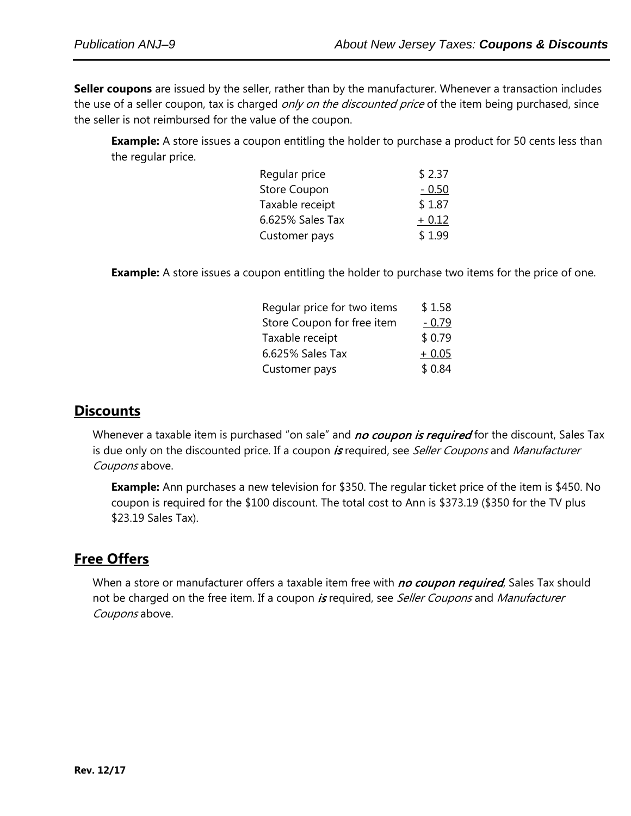**Seller coupons** are issued by the seller, rather than by the manufacturer. Whenever a transaction includes the use of a seller coupon, tax is charged *only on the discounted price* of the item being purchased, since the seller is not reimbursed for the value of the coupon.

**Example:** A store issues a coupon entitling the holder to purchase a product for 50 cents less than the regular price.

| Regular price       | \$2.37  |
|---------------------|---------|
| <b>Store Coupon</b> | $-0.50$ |
| Taxable receipt     | \$1.87  |
| 6.625% Sales Tax    | $+0.12$ |
| Customer pays       | \$1.99  |

**Example:** A store issues a coupon entitling the holder to purchase two items for the price of one.

| Regular price for two items | \$1.58  |
|-----------------------------|---------|
| Store Coupon for free item  | $-0.79$ |
| Taxable receipt             | \$0.79  |
| 6.625% Sales Tax            | $+0.05$ |
| Customer pays               | \$0.84  |
|                             |         |

#### **Discounts**

Whenever a taxable item is purchased "on sale" and no coupon is required for the discount, Sales Tax is due only on the discounted price. If a coupon is required, see Seller Coupons and Manufacturer Coupons above.

**Example:** Ann purchases a new television for \$350. The regular ticket price of the item is \$450. No coupon is required for the \$100 discount. The total cost to Ann is \$373.19 (\$350 for the TV plus \$23.19 Sales Tax).

#### **Free Offers**

When a store or manufacturer offers a taxable item free with no coupon required, Sales Tax should not be charged on the free item. If a coupon is required, see Seller Coupons and Manufacturer Coupons above.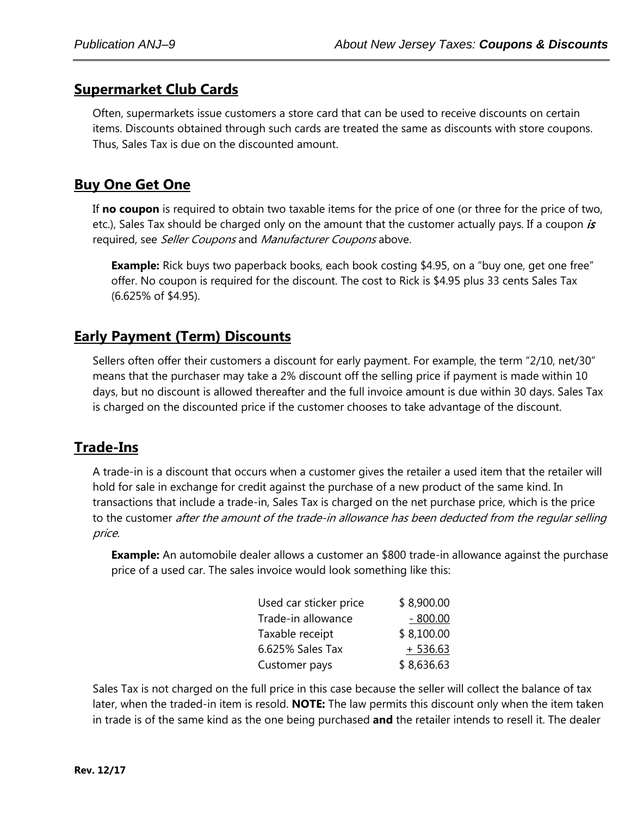### **Supermarket Club Cards**

Often, supermarkets issue customers a store card that can be used to receive discounts on certain items. Discounts obtained through such cards are treated the same as discounts with store coupons. Thus, Sales Tax is due on the discounted amount.

#### **Buy One Get One**

If **no coupon** is required to obtain two taxable items for the price of one (or three for the price of two, etc.), Sales Tax should be charged only on the amount that the customer actually pays. If a coupon is required, see Seller Coupons and Manufacturer Coupons above.

**Example:** Rick buys two paperback books, each book costing \$4.95, on a "buy one, get one free" offer. No coupon is required for the discount. The cost to Rick is \$4.95 plus 33 cents Sales Tax (6.625% of \$4.95).

#### **Early Payment (Term) Discounts**

Sellers often offer their customers a discount for early payment. For example, the term "2/10, net/30" means that the purchaser may take a 2% discount off the selling price if payment is made within 10 days, but no discount is allowed thereafter and the full invoice amount is due within 30 days. Sales Tax is charged on the discounted price if the customer chooses to take advantage of the discount.

#### **Trade-Ins**

A trade-in is a discount that occurs when a customer gives the retailer a used item that the retailer will hold for sale in exchange for credit against the purchase of a new product of the same kind. In transactions that include a trade-in, Sales Tax is charged on the net purchase price, which is the price to the customer after the amount of the trade-in allowance has been deducted from the regular selling price.

**Example:** An automobile dealer allows a customer an \$800 trade-in allowance against the purchase price of a used car. The sales invoice would look something like this:

| Used car sticker price | \$8,900.00 |
|------------------------|------------|
| Trade-in allowance     | $-800.00$  |
| Taxable receipt        | \$8,100.00 |
| 6.625% Sales Tax       | $+536.63$  |
| Customer pays          | \$8,636.63 |

Sales Tax is not charged on the full price in this case because the seller will collect the balance of tax later, when the traded-in item is resold. **NOTE:** The law permits this discount only when the item taken in trade is of the same kind as the one being purchased **and** the retailer intends to resell it. The dealer